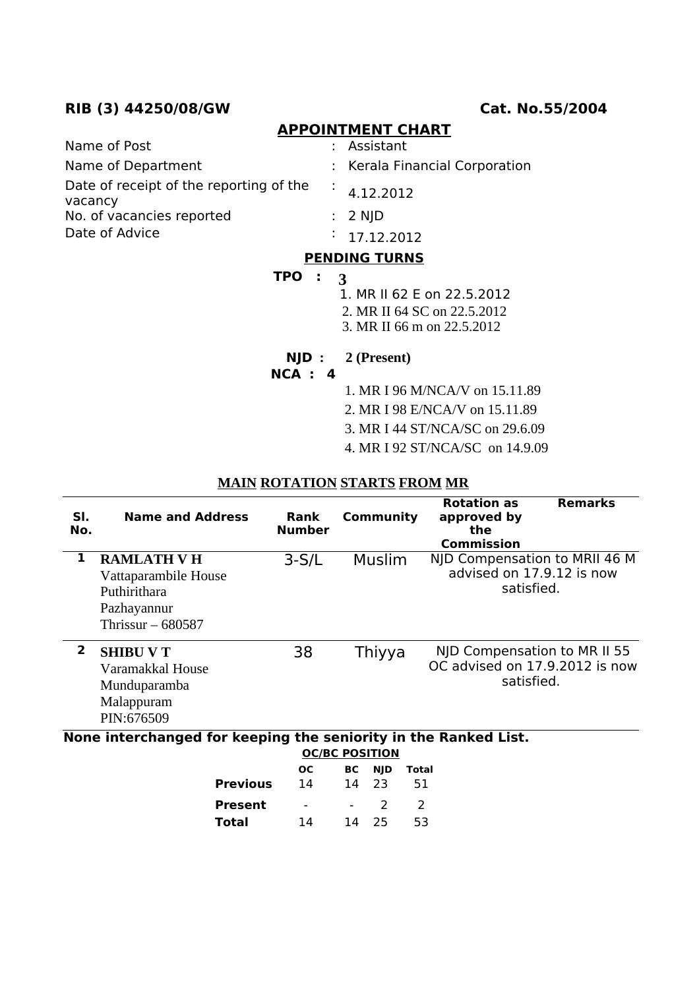## **RIB (3) 44250/08/GW Cat. No.55/2004**

#### **APPOINTMENT CHART**

| Name of Post                                       | : Assistant                    |
|----------------------------------------------------|--------------------------------|
| Name of Department                                 | : Kerala Financial Corporation |
| Date of receipt of the reporting of the<br>vacancy | 4.12.2012                      |
| No. of vacancies reported                          | $: 2$ NJD                      |
| Date of Advice                                     | $\frac{1}{2}$ 17.12.2012       |

## **PENDING TURNS**

#### **TPO : 3**

1. MR II 62 E on 22.5.2012

- 2. MR II 64 SC on 22.5.2012
- 3. MR II 66 m on 22.5.2012
- **NJD : 2 (Present)**
- **NCA : 4**
- 1. MR I 96 M/NCA/V on 15.11.89
- 2. MR I 98 E/NCA/V on 15.11.89
- 3. MR I 44 ST/NCA/SC on 29.6.09
- 4. MR I 92 ST/NCA/SC on 14.9.09

#### **MAIN ROTATION STARTS FROM MR**

| SI.<br>No.     | <b>Name and Address</b>                                                                         | Rank<br><b>Number</b> | <b>Community</b>                      | <b>Rotation as</b><br>approved by<br>the<br><b>Commission</b>                | <b>Remarks</b> |
|----------------|-------------------------------------------------------------------------------------------------|-----------------------|---------------------------------------|------------------------------------------------------------------------------|----------------|
| 1              | <b>RAMLATH V H</b><br>Vattaparambile House<br>Puthirithara<br>Pazhayannur<br>Thrissur $-680587$ | $3-S/L$               | Muslim                                | NJD Compensation to MRII 46 M<br>advised on 17.9.12 is now<br>satisfied.     |                |
| $\overline{2}$ | <b>SHIBU V T</b><br>Varamakkal House<br>Munduparamba<br>Malappuram<br>PIN:676509                | 38                    | Thiyya                                | NJD Compensation to MR II 55<br>OC advised on 17.9.2012 is now<br>satisfied. |                |
|                | None interchanged for keeping the seniority in the Ranked List.                                 | Ωr                    | <b>OC/BC POSITION</b><br>DC NUD Tatal |                                                                              |                |

|                 | OС                       |    |       | <b>BC</b> NJD Total |
|-----------------|--------------------------|----|-------|---------------------|
| <b>Previous</b> | 14                       |    | 14 23 | - 51                |
| Present         | $\overline{\phantom{0}}$ |    | 2     | $\mathcal{L}$       |
| Total           | 14                       | 14 | - 25  | 53                  |